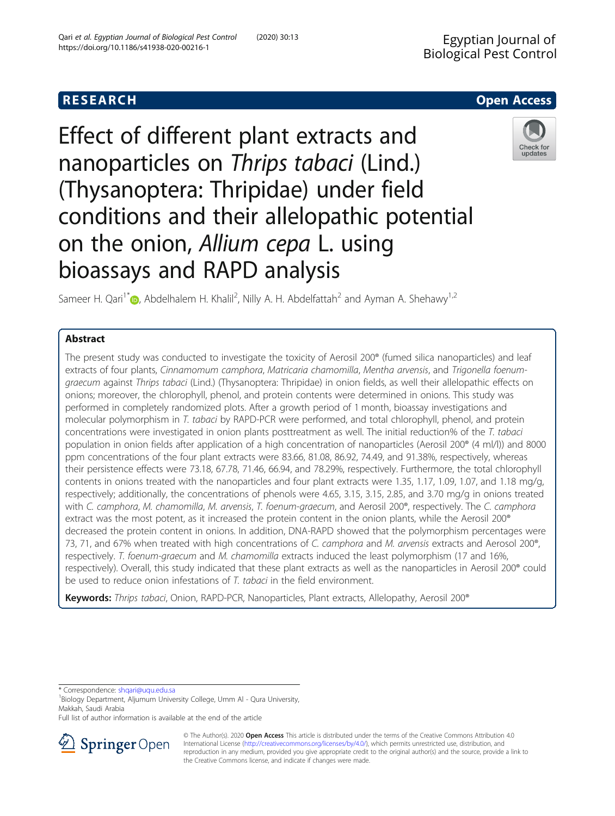## **RESEARCH CHILD CONTROL** CONTROL CONTROL CONTROL CONTROL CONTROL CONTROL CONTROL CONTROL CONTROL CONTROL CONTROL

# Effect of different plant extracts and nanoparticles on Thrips tabaci (Lind.) (Thysanoptera: Thripidae) under field conditions and their allelopathic potential on the onion, Allium cepa L. using bioassays and RAPD analysis



Sameer H. Qari<sup>1\*</sup> $\textsf{D}$ [,](http://orcid.org/0000-0001-9424-5217) Abdelhalem H. Khalil<sup>2</sup>, Nilly A. H. Abdelfattah<sup>2</sup> and Ayman A. Shehawy<sup>1,2</sup>

## Abstract

The present study was conducted to investigate the toxicity of Aerosil 200<sup>®</sup> (fumed silica nanoparticles) and leaf extracts of four plants, Cinnamomum camphora, Matricaria chamomilla, Mentha arvensis, and Trigonella foenumgraecum against Thrips tabaci (Lind.) (Thysanoptera: Thripidae) in onion fields, as well their allelopathic effects on onions; moreover, the chlorophyll, phenol, and protein contents were determined in onions. This study was performed in completely randomized plots. After a growth period of 1 month, bioassay investigations and molecular polymorphism in T. tabaci by RAPD-PCR were performed, and total chlorophyll, phenol, and protein concentrations were investigated in onion plants posttreatment as well. The initial reduction% of the T. tabaci population in onion fields after application of a high concentration of nanoparticles (Aerosil 200® (4 ml/l)) and 8000 ppm concentrations of the four plant extracts were 83.66, 81.08, 86.92, 74.49, and 91.38%, respectively, whereas their persistence effects were 73.18, 67.78, 71.46, 66.94, and 78.29%, respectively. Furthermore, the total chlorophyll contents in onions treated with the nanoparticles and four plant extracts were 1.35, 1.17, 1.09, 1.07, and 1.18 mg/g, respectively; additionally, the concentrations of phenols were 4.65, 3.15, 3.15, 2.85, and 3.70 mg/g in onions treated with C. camphora, M. chamomilla, M. arvensis, T. foenum-graecum, and Aerosil 200°, respectively. The C. camphora extract was the most potent, as it increased the protein content in the onion plants, while the Aerosil 200® decreased the protein content in onions. In addition, DNA-RAPD showed that the polymorphism percentages were 73, 71, and 67% when treated with high concentrations of C. camphora and M. arvensis extracts and Aerosol 200®, respectively. T. foenum-graecum and M. chamomilla extracts induced the least polymorphism (17 and 16%, respectively). Overall, this study indicated that these plant extracts as well as the nanoparticles in Aerosil 200® could be used to reduce onion infestations of T. tabaci in the field environment.

Keywords: Thrips tabaci, Onion, RAPD-PCR, Nanoparticles, Plant extracts, Allelopathy, Aerosil 200<sup>®</sup>

\* Correspondence: [shqari@uqu.edu.sa](mailto:shqari@uqu.edu.sa) <sup>1</sup>

<sup>1</sup> Biology Department, Aljumum University College, Umm Al - Qura University, Makkah, Saudi Arabia

Full list of author information is available at the end of the article



© The Author(s). 2020 Open Access This article is distributed under the terms of the Creative Commons Attribution 4.0 International License ([http://creativecommons.org/licenses/by/4.0/\)](http://creativecommons.org/licenses/by/4.0/), which permits unrestricted use, distribution, and reproduction in any medium, provided you give appropriate credit to the original author(s) and the source, provide a link to the Creative Commons license, and indicate if changes were made.

Check for updates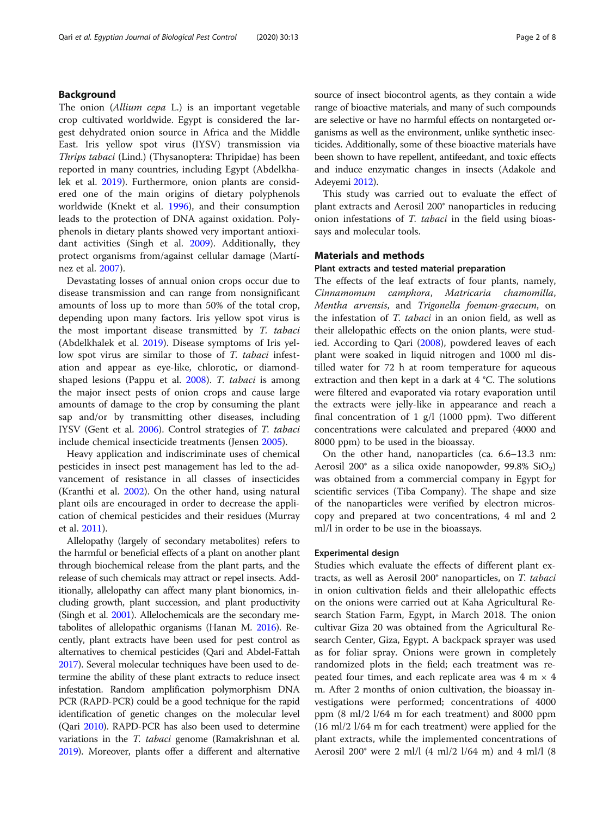## Background

The onion (*Allium cepa L*.) is an important vegetable crop cultivated worldwide. Egypt is considered the largest dehydrated onion source in Africa and the Middle East. Iris yellow spot virus (IYSV) transmission via Thrips tabaci (Lind.) (Thysanoptera: Thripidae) has been reported in many countries, including Egypt (Abdelkhalek et al. [2019](#page-6-0)). Furthermore, onion plants are considered one of the main origins of dietary polyphenols worldwide (Knekt et al. [1996\)](#page-7-0), and their consumption leads to the protection of DNA against oxidation. Polyphenols in dietary plants showed very important antioxidant activities (Singh et al. [2009](#page-7-0)). Additionally, they protect organisms from/against cellular damage (Martínez et al. [2007\)](#page-7-0).

Devastating losses of annual onion crops occur due to disease transmission and can range from nonsignificant amounts of loss up to more than 50% of the total crop, depending upon many factors. Iris yellow spot virus is the most important disease transmitted by T. tabaci (Abdelkhalek et al. [2019](#page-6-0)). Disease symptoms of Iris yellow spot virus are similar to those of T. tabaci infestation and appear as eye-like, chlorotic, or diamondshaped lesions (Pappu et al. [2008\)](#page-7-0). T. tabaci is among the major insect pests of onion crops and cause large amounts of damage to the crop by consuming the plant sap and/or by transmitting other diseases, including IYSV (Gent et al. [2006\)](#page-7-0). Control strategies of T. tabaci include chemical insecticide treatments (Jensen [2005](#page-7-0)).

Heavy application and indiscriminate uses of chemical pesticides in insect pest management has led to the advancement of resistance in all classes of insecticides (Kranthi et al. [2002\)](#page-7-0). On the other hand, using natural plant oils are encouraged in order to decrease the application of chemical pesticides and their residues (Murray et al. [2011\)](#page-7-0).

Allelopathy (largely of secondary metabolites) refers to the harmful or beneficial effects of a plant on another plant through biochemical release from the plant parts, and the release of such chemicals may attract or repel insects. Additionally, allelopathy can affect many plant bionomics, including growth, plant succession, and plant productivity (Singh et al. [2001](#page-7-0)). Allelochemicals are the secondary metabolites of allelopathic organisms (Hanan M. [2016\)](#page-7-0). Recently, plant extracts have been used for pest control as alternatives to chemical pesticides (Qari and Abdel-Fattah [2017\)](#page-7-0). Several molecular techniques have been used to determine the ability of these plant extracts to reduce insect infestation. Random amplification polymorphism DNA PCR (RAPD-PCR) could be a good technique for the rapid identification of genetic changes on the molecular level (Qari [2010](#page-7-0)). RAPD-PCR has also been used to determine variations in the T. tabaci genome (Ramakrishnan et al. [2019\)](#page-7-0). Moreover, plants offer a different and alternative source of insect biocontrol agents, as they contain a wide range of bioactive materials, and many of such compounds are selective or have no harmful effects on nontargeted organisms as well as the environment, unlike synthetic insecticides. Additionally, some of these bioactive materials have been shown to have repellent, antifeedant, and toxic effects and induce enzymatic changes in insects (Adakole and Adeyemi [2012](#page-6-0)).

This study was carried out to evaluate the effect of plant extracts and Aerosil 200® nanoparticles in reducing onion infestations of T. tabaci in the field using bioassays and molecular tools.

## Materials and methods

#### Plant extracts and tested material preparation

The effects of the leaf extracts of four plants, namely, Cinnamomum camphora, Matricaria chamomilla, Mentha arvensis, and Trigonella foenum-graecum, on the infestation of T. tabaci in an onion field, as well as their allelopathic effects on the onion plants, were studied. According to Qari [\(2008\)](#page-7-0), powdered leaves of each plant were soaked in liquid nitrogen and 1000 ml distilled water for 72 h at room temperature for aqueous extraction and then kept in a dark at 4 °C. The solutions were filtered and evaporated via rotary evaporation until the extracts were jelly-like in appearance and reach a final concentration of 1  $g/l$  (1000 ppm). Two different concentrations were calculated and prepared (4000 and 8000 ppm) to be used in the bioassay.

On the other hand, nanoparticles (ca. 6.6–13.3 nm: Aerosil 200 $^{\circ}$  as a silica oxide nanopowder, 99.8% SiO<sub>2</sub>) was obtained from a commercial company in Egypt for scientific services (Tiba Company). The shape and size of the nanoparticles were verified by electron microscopy and prepared at two concentrations, 4 ml and 2 ml/l in order to be use in the bioassays.

#### Experimental design

Studies which evaluate the effects of different plant extracts, as well as Aerosil 200® nanoparticles, on T. tabaci in onion cultivation fields and their allelopathic effects on the onions were carried out at Kaha Agricultural Research Station Farm, Egypt, in March 2018. The onion cultivar Giza 20 was obtained from the Agricultural Research Center, Giza, Egypt. A backpack sprayer was used as for foliar spray. Onions were grown in completely randomized plots in the field; each treatment was repeated four times, and each replicate area was  $4 \text{ m} \times 4$ m. After 2 months of onion cultivation, the bioassay investigations were performed; concentrations of 4000 ppm (8 ml/2 l/64 m for each treatment) and 8000 ppm (16 ml/2 l/64 m for each treatment) were applied for the plant extracts, while the implemented concentrations of Aerosil 200® were 2 ml/l (4 ml/2 l/64 m) and 4 ml/l (8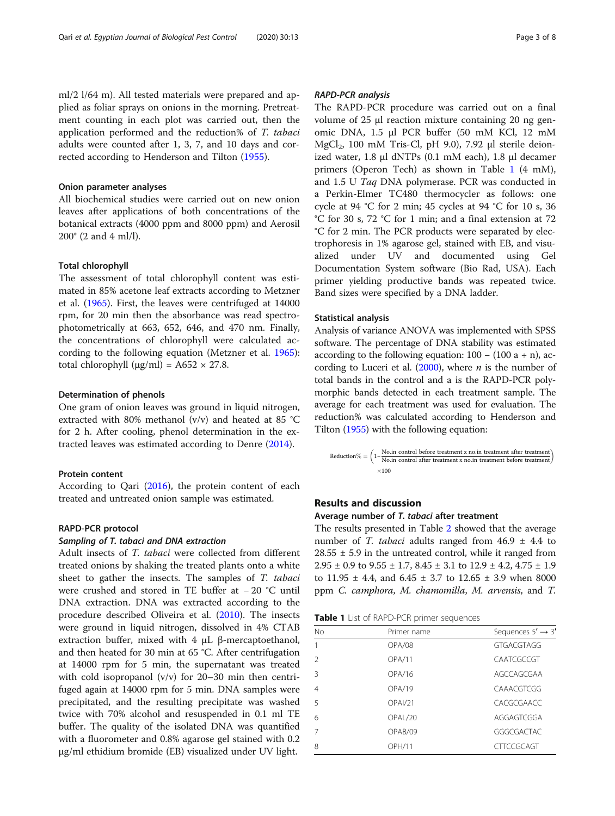ml/2 l/64 m). All tested materials were prepared and applied as foliar sprays on onions in the morning. Pretreatment counting in each plot was carried out, then the application performed and the reduction% of T. tabaci adults were counted after 1, 3, 7, and 10 days and corrected according to Henderson and Tilton [\(1955\)](#page-7-0).

## Onion parameter analyses

All biochemical studies were carried out on new onion leaves after applications of both concentrations of the botanical extracts (4000 ppm and 8000 ppm) and Aerosil 200® (2 and 4 ml/l).

#### Total chlorophyll

The assessment of total chlorophyll content was estimated in 85% acetone leaf extracts according to Metzner et al. [\(1965\)](#page-7-0). First, the leaves were centrifuged at 14000 rpm, for 20 min then the absorbance was read spectrophotometrically at 663, 652, 646, and 470 nm. Finally, the concentrations of chlorophyll were calculated according to the following equation (Metzner et al. [1965](#page-7-0)): total chlorophyll ( $\mu$ g/ml) = A652 × 27.8.

## Determination of phenols

One gram of onion leaves was ground in liquid nitrogen, extracted with 80% methanol (v/v) and heated at 85 °C for 2 h. After cooling, phenol determination in the extracted leaves was estimated according to Denre [\(2014](#page-6-0)).

## Protein content

According to Qari ([2016](#page-7-0)), the protein content of each treated and untreated onion sample was estimated.

## RAPD-PCR protocol

#### Sampling of T. tabaci and DNA extraction

Adult insects of T. tabaci were collected from different treated onions by shaking the treated plants onto a white sheet to gather the insects. The samples of T. tabaci were crushed and stored in TE buffer at − 20 °C until DNA extraction. DNA was extracted according to the procedure described Oliveira et al. [\(2010](#page-7-0)). The insects were ground in liquid nitrogen, dissolved in 4% CTAB extraction buffer, mixed with 4 μL β-mercaptoethanol, and then heated for 30 min at 65 °C. After centrifugation at 14000 rpm for 5 min, the supernatant was treated with cold isopropanol  $(v/v)$  for 20–30 min then centrifuged again at 14000 rpm for 5 min. DNA samples were precipitated, and the resulting precipitate was washed twice with 70% alcohol and resuspended in 0.1 ml TE buffer. The quality of the isolated DNA was quantified with a fluorometer and 0.8% agarose gel stained with 0.2 μg/ml ethidium bromide (EB) visualized under UV light.

## RAPD-PCR analysis

The RAPD-PCR procedure was carried out on a final volume of 25 μl reaction mixture containing 20 ng genomic DNA, 1.5 μl PCR buffer (50 mM KCl, 12 mM MgCl<sub>2</sub>, 100 mM Tris-Cl, pH 9.0), 7.92 μl sterile deionized water, 1.8 μl dNTPs (0.1 mM each), 1.8 μl decamer primers (Operon Tech) as shown in Table 1 (4 mM), and 1.5 U Taq DNA polymerase. PCR was conducted in a Perkin-Elmer TC480 thermocycler as follows: one cycle at 94 °C for 2 min; 45 cycles at 94 °C for 10 s, 36 °C for 30 s, 72 °C for 1 min; and a final extension at 72 °C for 2 min. The PCR products were separated by electrophoresis in 1% agarose gel, stained with EB, and visualized under UV and documented using Gel Documentation System software (Bio Rad, USA). Each primer yielding productive bands was repeated twice. Band sizes were specified by a DNA ladder.

## Statistical analysis

Analysis of variance ANOVA was implemented with SPSS software. The percentage of DNA stability was estimated according to the following equation:  $100 - (100 \text{ a} \div \text{n})$ , according to Luceri et al.  $(2000)$ , where *n* is the number of total bands in the control and a is the RAPD-PCR polymorphic bands detected in each treatment sample. The average for each treatment was used for evaluation. The reduction% was calculated according to Henderson and Tilton [\(1955\)](#page-7-0) with the following equation:

$$
Reduction\% = \left(1-\frac{\text{No.in control before treatment x no.in treatment after treatment}}{\text{No.in control after treatment x no.in treatment before treatment}}\right) \times 100
$$

## Results and discussion

#### Average number of T. tabaci after treatment

The results presented in Table [2](#page-3-0) showed that the average number of *T. tabaci* adults ranged from  $46.9 \pm 4.4$  to  $28.55 \pm 5.9$  in the untreated control, while it ranged from  $2.95 \pm 0.9$  to  $9.55 \pm 1.7$ ,  $8.45 \pm 3.1$  to  $12.9 \pm 4.2$ ,  $4.75 \pm 1.9$ to  $11.95 \pm 4.4$ , and  $6.45 \pm 3.7$  to  $12.65 \pm 3.9$  when 8000 ppm C. camphora, M. chamomilla, M. arvensis, and T.

Table 1 List of RAPD-PCR primer sequences

| No             | Primer name     | Sequences $5' \rightarrow 3'$ |
|----------------|-----------------|-------------------------------|
|                | OPA/08          | GTGACGTAGG                    |
| $\mathcal{P}$  | OPA/11          | CAATCGCCGT                    |
| 3              | OPA/16          | AGCCAGCGAA                    |
| $\overline{4}$ | OPA/19          | CAAACGTCGG                    |
| 5              | OPAI/21         | CACGCGAACC                    |
| 6              | <b>OPAI /20</b> | AGGAGTCGGA                    |
|                | OPAB/09         | GGGCGACTAC                    |
| 8              | <b>OPH/11</b>   | <b>CITCCGCAGT</b>             |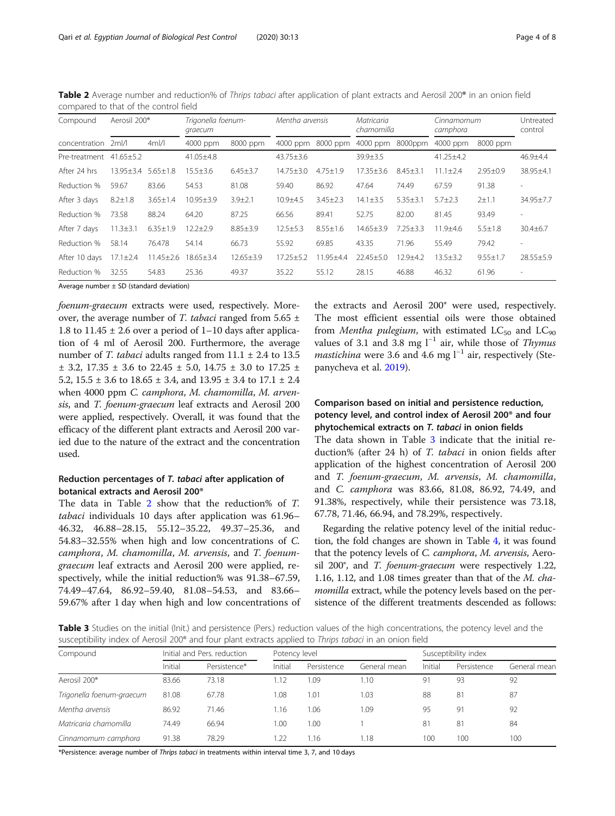<span id="page-3-0"></span>Table 2 Average number and reduction% of Thrips tabaci after application of plant extracts and Aerosil 200<sup>®</sup> in an onion field compared to that of the control field

| Compound      | Aerosil 200 <sup>®</sup> |                 | Trigonella foenum-<br>graecum |                 | Mentha arvensis |                | Matricaria<br>chamomilla |                | Cinnamomum<br>camphora | Untreated<br>control |                          |
|---------------|--------------------------|-----------------|-------------------------------|-----------------|-----------------|----------------|--------------------------|----------------|------------------------|----------------------|--------------------------|
| concentration | 2m/l                     | $4m$ /          | 4000 ppm                      | 8000 ppm        | 4000 ppm        | 8000 ppm       | 4000 ppm                 | 8000ppm        | 4000 ppm               | 8000 ppm             |                          |
| Pre-treatment | $41.65 \pm 5.2$          |                 | $41.05 \pm 4.8$               |                 | $43.75 \pm 3.6$ |                | $39.9 \pm 3.5$           |                | $41.25 \pm 4.2$        |                      | $46.9 + 4.4$             |
| After 24 hrs  | 13.95±3.4 5.65±1.8       |                 | $15.5 \pm 3.6$                | $6.45 \pm 3.7$  | $14.75 + 3.0$   | $4.75 \pm 1.9$ | $17.35 + 3.6$            | $8.45 \pm 3.1$ | $11.1 \pm 2.4$         | $2.95 \pm 0.9$       | 38.95±4.1                |
| Reduction %   | 59.67                    | 83.66           | 54.53                         | 81.08           | 59.40           | 86.92          | 47.64                    | 74.49          | 67.59                  | 91.38                | $\sim$                   |
| After 3 days  | $8.2 \pm 1.8$            | $3.65 \pm 1.4$  | $10.95 + 3.9$                 | $3.9 + 2.1$     | $10.9 + 4.5$    | $3.45 \pm 2.3$ | $14.1 \pm 3.5$           | $5.35 \pm 3.1$ | $5.7 + 2.3$            | $2 + 1.1$            | 34.95±7.7                |
| Reduction %   | 73.58                    | 88.24           | 64.20                         | 87.25           | 66.56           | 89.41          | 52.75                    | 82.00          | 81.45                  | 93.49                | ۰                        |
| After 7 days  | $11.3 \pm 3.1$           | $6.35 \pm 1.9$  | $12.2 \pm 2.9$                | $8.85 \pm 3.9$  | $12.5 \pm 5.3$  | $8.55 \pm 1.6$ | $14.65 \pm 3.9$          | $7.25 + 3.3$   | $11.9 + 4.6$           | $5.5 \pm 1.8$        | $30.4 + 6.7$             |
| Reduction %   | 58.14                    | 76.478          | 54.14                         | 66.73           | 55.92           | 69.85          | 43.35                    | 71.96          | 55.49                  | 79.42                | $\overline{\phantom{a}}$ |
| After 10 days | $17.1 \pm 2.4$           | $11.45 \pm 2.6$ | $18.65 \pm 3.4$               | $12.65 \pm 3.9$ | $17.25 + 5.2$   | 11.95±4.4      | $22.45 + 5.0$            | 12.9±4.2       | $13.5 + 3.2$           | $9.55 + 1.7$         | $28.55 \pm 5.9$          |
| Reduction %   | 32.55                    | 54.83           | 25.36                         | 49.37           | 35.22           | 55.12          | 28.15                    | 46.88          | 46.32                  | 61.96                | $\overline{\phantom{a}}$ |

Average number  $\pm$  SD (standard deviation)

foenum-graecum extracts were used, respectively. Moreover, the average number of T. tabaci ranged from  $5.65 \pm 1$ 1.8 to 11.45  $\pm$  2.6 over a period of 1–10 days after application of 4 ml of Aerosil 200. Furthermore, the average number of *T. tabaci* adults ranged from  $11.1 \pm 2.4$  to 13.5  $\pm$  3.2, 17.35  $\pm$  3.6 to 22.45  $\pm$  5.0, 14.75  $\pm$  3.0 to 17.25  $\pm$ 5.2,  $15.5 \pm 3.6$  to  $18.65 \pm 3.4$ , and  $13.95 \pm 3.4$  to  $17.1 \pm 2.4$ when 4000 ppm C. camphora, M. chamomilla, M. arvensis, and T. foenum-graecum leaf extracts and Aerosil 200 were applied, respectively. Overall, it was found that the efficacy of the different plant extracts and Aerosil 200 varied due to the nature of the extract and the concentration used.

## Reduction percentages of T. tabaci after application of botanical extracts and Aerosil 200®

The data in Table <sup>2</sup> show that the reduction% of T. tabaci individuals 10 days after application was 61.96– 46.32, 46.88–28.15, 55.12–35.22, 49.37–25.36, and 54.83–32.55% when high and low concentrations of C. camphora, M. chamomilla, M. arvensis, and T. foenumgraecum leaf extracts and Aerosil 200 were applied, respectively, while the initial reduction% was 91.38–67.59, 74.49–47.64, 86.92–59.40, 81.08–54.53, and 83.66– 59.67% after 1 day when high and low concentrations of the extracts and Aerosil 200® were used, respectively. The most efficient essential oils were those obtained from Mentha pulegium, with estimated  $LC_{50}$  and  $LC_{90}$ values of 3.1 and 3.8 mg  $l^{-1}$  air, while those of *Thymus mastichina* were 3.6 and 4.6 mg  $l^{-1}$  air, respectively (Stepanycheva et al. [2019](#page-7-0)).

## Comparison based on initial and persistence reduction, potency level, and control index of Aerosil 200® and four phytochemical extracts on T. tabaci in onion fields

The data shown in Table 3 indicate that the initial reduction% (after 24 h) of T. tabaci in onion fields after application of the highest concentration of Aerosil 200 and T. foenum-graecum, M. arvensis, M. chamomilla, and C. camphora was 83.66, 81.08, 86.92, 74.49, and 91.38%, respectively, while their persistence was 73.18, 67.78, 71.46, 66.94, and 78.29%, respectively.

Regarding the relative potency level of the initial reduction, the fold changes are shown in Table [4,](#page-4-0) it was found that the potency levels of C. camphora, M. arvensis, Aerosil 200°, and *T. foenum-graecum* were respectively 1.22, 1.16, 1.12, and 1.08 times greater than that of the M. chamomilla extract, while the potency levels based on the persistence of the different treatments descended as follows:

Table 3 Studies on the initial (Init.) and persistence (Pers.) reduction values of the high concentrations, the potency level and the susceptibility index of Aerosil 200® and four plant extracts applied to Thrips tabaci in an onion field

| Compound                  |         | Initial and Pers. reduction | Potency level |             |              |         | Susceptibility index |              |  |  |
|---------------------------|---------|-----------------------------|---------------|-------------|--------------|---------|----------------------|--------------|--|--|
|                           | Initial | Persistence*                | Initial       | Persistence | General mean | Initial | Persistence          | General mean |  |  |
| Aerosil 200 <sup>®</sup>  | 83.66   | 73.18                       | .12           | 1.09        | .10          | 91      | 93                   | 92           |  |  |
| Trigonella foenum-graecum | 81.08   | 67.78                       | 1.08          | 1.01        | 1.03         | 88      | 81                   | 87           |  |  |
| Mentha arvensis           | 86.92   | 71.46                       | I.16          | 1.06        | 1.09         | 95      | -91                  | 92           |  |  |
| Matricaria chamomilla     | 74.49   | 66.94                       | 0.00          | 1.00        |              | 81      | 81                   | 84           |  |  |
| Cinnamomum camphora       | 91.38   | 78.29                       | .22           | 1.16        | .18          | 100     | 100                  | 100          |  |  |

\*Persistence: average number of Thrips tabaci in treatments within interval time 3, 7, and 10 days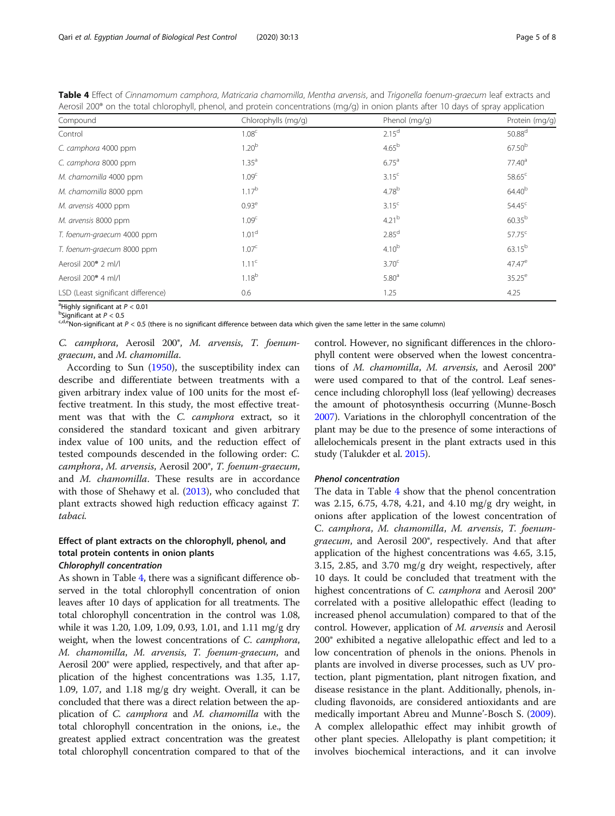| Aerosii 200° on the total chlorophyll, phenol, and protein concentrations (mg/g) in onion plants after 10 days of spray application |                     |                   |                    |  |  |  |  |  |  |
|-------------------------------------------------------------------------------------------------------------------------------------|---------------------|-------------------|--------------------|--|--|--|--|--|--|
| Compound                                                                                                                            | Chlorophylls (mg/g) | Phenol (mg/g)     | Protein (mg/g)     |  |  |  |  |  |  |
| Control                                                                                                                             | 1.08 <sup>c</sup>   | $2.15^{\rm d}$    | 50.88 <sup>d</sup> |  |  |  |  |  |  |
| C. camphora 4000 ppm                                                                                                                | 1.20 <sup>b</sup>   | $4.65^{b}$        | $67.50^{b}$        |  |  |  |  |  |  |
| C. camphora 8000 ppm                                                                                                                | $1.35^{a}$          | $6.75^{\circ}$    | $77.40^{\circ}$    |  |  |  |  |  |  |
| M. chamomilla 4000 ppm                                                                                                              | 1.09 <sup>c</sup>   | 3.15 <sup>c</sup> | $58.65^{\circ}$    |  |  |  |  |  |  |
| M. chamomilla 8000 ppm                                                                                                              | $1.17^{b}$          | $4.78^{b}$        | $64.40^{b}$        |  |  |  |  |  |  |
| M. arvensis 4000 ppm                                                                                                                | 0.93 <sup>e</sup>   | 3.15 <sup>c</sup> | 54.45 <sup>c</sup> |  |  |  |  |  |  |
| M. arvensis 8000 ppm                                                                                                                | 1.09 <sup>c</sup>   | $4.21^{b}$        | $60.35^{b}$        |  |  |  |  |  |  |
| T. foenum-graecum 4000 ppm                                                                                                          | 1.01 <sup>d</sup>   | 2.85 <sup>d</sup> | $57.75^{\circ}$    |  |  |  |  |  |  |
| T. foenum-graecum 8000 ppm                                                                                                          | 1.07 <sup>c</sup>   | 4.10 <sup>b</sup> | $63.15^{b}$        |  |  |  |  |  |  |
| Aerosil 200 <sup>®</sup> 2 ml/l                                                                                                     | 1.11 <sup>c</sup>   | 3.70 <sup>c</sup> | $47.47^{\circ}$    |  |  |  |  |  |  |
| Aerosil 200 <sup>®</sup> 4 ml/l                                                                                                     | $1.18^{b}$          | 5.80 <sup>a</sup> | $35.25^{\circ}$    |  |  |  |  |  |  |
| LSD (Least significant difference)                                                                                                  | 0.6                 | 1.25              | 4.25               |  |  |  |  |  |  |

<span id="page-4-0"></span>Table 4 Effect of Cinnamomum camphora, Matricaria chamomilla, Mentha arvensis, and Trigonella foenum-graecum leaf extracts and<br>Agreeil 200% on the tetal ebleganhull phonel and protein sepsentrations (ma/s) in onion plants Aerosil 200® on the total chlorophyll, phenol, and protein concentrations (mg/g) in onion plants after 10 days of spray application

<sup>a</sup>Highly significant at  $P < 0.01$ <br><sup>b</sup>Significant at  $P < 0.5$ 

<sup>b</sup>Significant at P < 0.5<br><sup>c,d,e</sup>Non-significant at P < 0.5 (there is no significant difference between data which given the same letter in the same column)

C. camphora, Aerosil 200®, M. arvensis, T. foenumgraecum, and M. chamomilla.

According to Sun ([1950](#page-7-0)), the susceptibility index can describe and differentiate between treatments with a given arbitrary index value of 100 units for the most effective treatment. In this study, the most effective treatment was that with the C. camphora extract, so it considered the standard toxicant and given arbitrary index value of 100 units, and the reduction effect of tested compounds descended in the following order: C. camphora, M. arvensis, Aerosil 200®, T. foenum-graecum, and M. chamomilla. These results are in accordance with those of Shehawy et al. [\(2013\)](#page-7-0), who concluded that plant extracts showed high reduction efficacy against *T.* tabaci.

## Effect of plant extracts on the chlorophyll, phenol, and total protein contents in onion plants Chlorophyll concentration

As shown in Table 4, there was a significant difference observed in the total chlorophyll concentration of onion leaves after 10 days of application for all treatments. The total chlorophyll concentration in the control was 1.08, while it was 1.20, 1.09, 1.09, 0.93, 1.01, and 1.11 mg/g dry weight, when the lowest concentrations of C. camphora, M. chamomilla, M. arvensis, T. foenum-graecum, and Aerosil 200® were applied, respectively, and that after application of the highest concentrations was 1.35, 1.17, 1.09, 1.07, and 1.18 mg/g dry weight. Overall, it can be concluded that there was a direct relation between the application of C. camphora and M. chamomilla with the total chlorophyll concentration in the onions, i.e., the greatest applied extract concentration was the greatest total chlorophyll concentration compared to that of the control. However, no significant differences in the chlorophyll content were observed when the lowest concentrations of M. chamomilla, M. arvensis, and Aerosil 200® were used compared to that of the control. Leaf senescence including chlorophyll loss (leaf yellowing) decreases the amount of photosynthesis occurring (Munne-Bosch [2007\)](#page-7-0). Variations in the chlorophyll concentration of the plant may be due to the presence of some interactions of allelochemicals present in the plant extracts used in this study (Talukder et al. [2015\)](#page-7-0).

## Phenol concentration

The data in Table 4 show that the phenol concentration was 2.15, 6.75, 4.78, 4.21, and 4.10 mg/g dry weight, in onions after application of the lowest concentration of C. camphora, M. chamomilla, M. arvensis, T. foenumgraecum, and Aerosil 200®, respectively. And that after application of the highest concentrations was 4.65, 3.15, 3.15, 2.85, and 3.70 mg/g dry weight, respectively, after 10 days. It could be concluded that treatment with the highest concentrations of C. camphora and Aerosil 200<sup>®</sup> correlated with a positive allelopathic effect (leading to increased phenol accumulation) compared to that of the control. However, application of M. arvensis and Aerosil 200® exhibited a negative allelopathic effect and led to a low concentration of phenols in the onions. Phenols in plants are involved in diverse processes, such as UV protection, plant pigmentation, plant nitrogen fixation, and disease resistance in the plant. Additionally, phenols, including flavonoids, are considered antioxidants and are medically important Abreu and Munne'-Bosch S. ([2009](#page-6-0)). A complex allelopathic effect may inhibit growth of other plant species. Allelopathy is plant competition; it involves biochemical interactions, and it can involve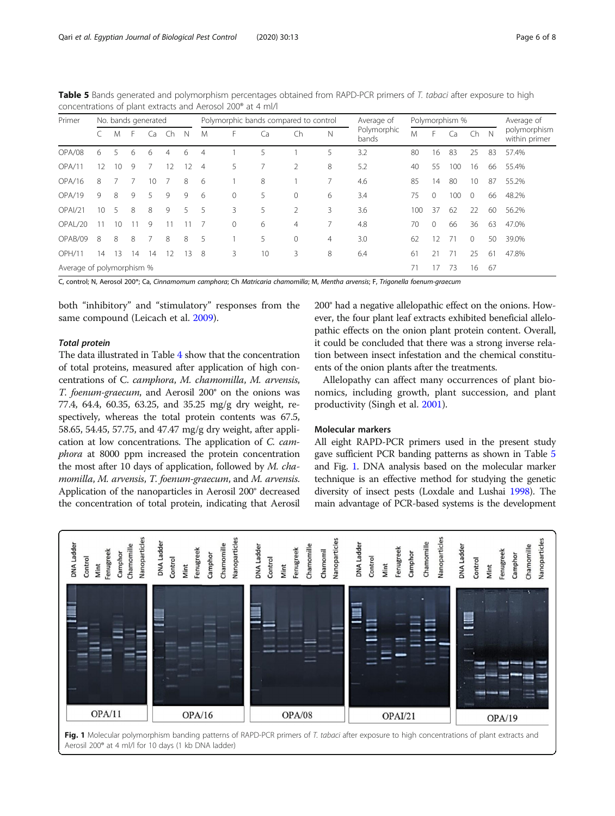| Primer                    |                 | No. bands generated |    |    |    |             |                | Polymorphic bands compared to control |    |               |   | Average of           | Polymorphism % |                   |     |                | Average of |                               |
|---------------------------|-----------------|---------------------|----|----|----|-------------|----------------|---------------------------------------|----|---------------|---|----------------------|----------------|-------------------|-----|----------------|------------|-------------------------------|
|                           |                 | M                   | F. | Cа | Ch | $\mathbb N$ | M              | F                                     | Ca | Ch            | Ν | Polymorphic<br>bands | M              | F.                | Ca  | Ch             | N          | polymorphism<br>within primer |
| OPA/08                    | 6               | $\overline{5}$      | 6  | 6  | 4  | 6           | $\overline{4}$ |                                       | 5  |               | 5 | 3.2                  | 80             | 16                | 83  | 25             | 83         | 57.4%                         |
| OPA/11                    | 12              | 10                  | 9  | 7  | 12 | 12          | $\overline{4}$ | 5                                     |    | $\mathcal{P}$ | 8 | 5.2                  | 40             | 55                | 100 | 16             | 66         | 55.4%                         |
| OPA/16                    | 8               |                     |    | 10 |    | 8           | 6              |                                       | 8  |               |   | 4.6                  | 85             | 14                | 80  | 10             | 87         | 55.2%                         |
| OPA/19                    | 9               | 8                   | 9  | 5. | 9  | 9           | -6             | $\mathbf 0$                           | 5  | $\Omega$      | 6 | 3.4                  | 75             | $\Omega$          | 100 | $\overline{0}$ | 66         | 48.2%                         |
| OPAI/21                   | 10 <sup>2</sup> | 5 <sup>5</sup>      | 8  | 8  | 9  | 5.          | 5              | 3                                     | 5  |               | 3 | 3.6                  | 100            | 37                | 62  | 22             | 60         | 56.2%                         |
| OPAL/20                   | 11              | 10                  | 11 | 9  |    |             |                | $\Omega$                              | 6  | 4             |   | 4.8                  | 70             | $\Omega$          | 66  | 36             | 63         | 47.0%                         |
| OPAB/09                   | 8               | 8                   | 8  |    | 8  | 8           | 5              |                                       | 5  | $\Omega$      | 4 | 3.0                  | 62             | $12 \overline{ }$ | 71  | $\Omega$       | 50         | 39.0%                         |
| <b>OPH/11</b>             | 14              | 13                  | 14 | 14 | 12 | 13          | 8              | 3                                     | 10 | 3             | 8 | 6.4                  | 61             | 21                | 71  | 25             | 61         | 47.8%                         |
| Average of polymorphism % |                 |                     |    |    |    |             |                |                                       |    |               |   |                      | 71             | 17                | 73  | 16             | 67         |                               |

<span id="page-5-0"></span>Table 5 Bands generated and polymorphism percentages obtained from RAPD-PCR primers of T. tabaci after exposure to high concentrations of plant extracts and Aerosol 200® at 4 ml/l

C, control; N, Aerosol 200®; Ca, Cinnamomum camphora; Ch Matricaria chamomilla; M, Mentha arvensis; F, Trigonella foenum-graecum

both "inhibitory" and "stimulatory" responses from the same compound (Leicach et al. [2009\)](#page-7-0).

## Total protein

The data illustrated in Table [4](#page-4-0) show that the concentration of total proteins, measured after application of high concentrations of C. camphora, M. chamomilla, M. arvensis, T. foenum-graecum, and Aerosil 200® on the onions was 77.4, 64.4, 60.35, 63.25, and 35.25 mg/g dry weight, respectively, whereas the total protein contents was 67.5, 58.65, 54.45, 57.75, and 47.47 mg/g dry weight, after application at low concentrations. The application of C. camphora at 8000 ppm increased the protein concentration the most after 10 days of application, followed by M. chamomilla, M. arvensis, T. foenum-graecum, and M. arvensis. Application of the nanoparticles in Aerosil 200® decreased the concentration of total protein, indicating that Aerosil

200® had a negative allelopathic effect on the onions. However, the four plant leaf extracts exhibited beneficial allelopathic effects on the onion plant protein content. Overall, it could be concluded that there was a strong inverse relation between insect infestation and the chemical constituents of the onion plants after the treatments.

Allelopathy can affect many occurrences of plant bionomics, including growth, plant succession, and plant productivity (Singh et al. [2001](#page-7-0)).

## Molecular markers

All eight RAPD-PCR primers used in the present study gave sufficient PCR banding patterns as shown in Table 5 and Fig. 1. DNA analysis based on the molecular marker technique is an effective method for studying the genetic diversity of insect pests (Loxdale and Lushai [1998](#page-7-0)). The main advantage of PCR-based systems is the development



Fig. 1 Molecular polymorphism banding patterns of RAPD-PCR primers of T. tabaci after exposure to high concentrations of plant extracts and Aerosil 200® at 4 ml/l for 10 days (1 kb DNA ladder)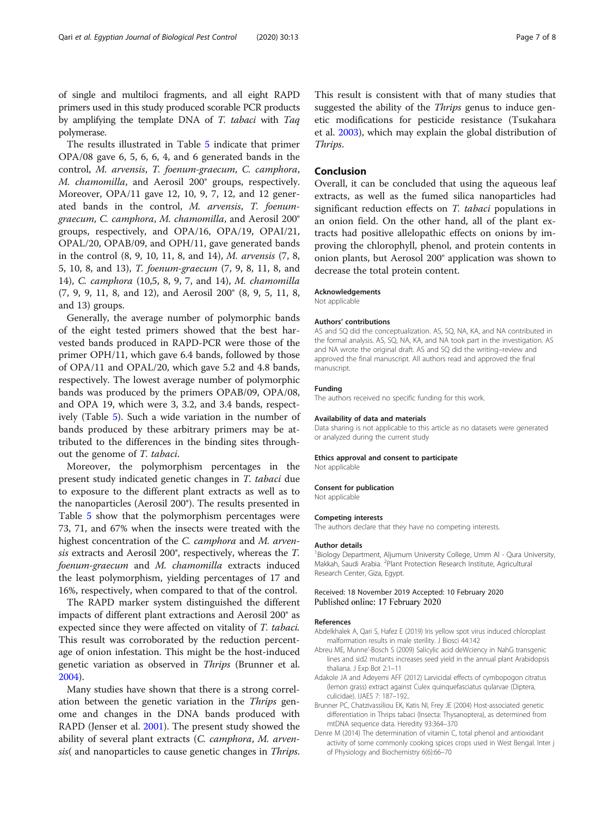<span id="page-6-0"></span>of single and multiloci fragments, and all eight RAPD primers used in this study produced scorable PCR products by amplifying the template DNA of T. tabaci with Taq polymerase.

The results illustrated in Table [5](#page-5-0) indicate that primer OPA/08 gave 6, 5, 6, 6, 4, and 6 generated bands in the control, M. arvensis, T. foenum-graecum, C. camphora, M. chamomilla, and Aerosil 200® groups, respectively. Moreover, OPA/11 gave 12, 10, 9, 7, 12, and 12 generated bands in the control, M. arvensis, T. foenumgraecum, C. camphora, M. chamomilla, and Aerosil 200® groups, respectively, and OPA/16, OPA/19, OPAI/21, OPAL/20, OPAB/09, and OPH/11, gave generated bands in the control (8, 9, 10, 11, 8, and 14), M. arvensis (7, 8, 5, 10, 8, and 13), T. foenum-graecum (7, 9, 8, 11, 8, and 14), C. camphora (10,5, 8, 9, 7, and 14), M. chamomilla (7, 9, 9, 11, 8, and 12), and Aerosil 200® (8, 9, 5, 11, 8, and 13) groups.

Generally, the average number of polymorphic bands of the eight tested primers showed that the best harvested bands produced in RAPD-PCR were those of the primer OPH/11, which gave 6.4 bands, followed by those of OPA/11 and OPAL/20, which gave 5.2 and 4.8 bands, respectively. The lowest average number of polymorphic bands was produced by the primers OPAB/09, OPA/08, and OPA 19, which were 3, 3.2, and 3.4 bands, respectively (Table [5\)](#page-5-0). Such a wide variation in the number of bands produced by these arbitrary primers may be attributed to the differences in the binding sites throughout the genome of T. tabaci.

Moreover, the polymorphism percentages in the present study indicated genetic changes in T. tabaci due to exposure to the different plant extracts as well as to the nanoparticles (Aerosil 200®). The results presented in Table [5](#page-5-0) show that the polymorphism percentages were 73, 71, and 67% when the insects were treated with the highest concentration of the *C. camphora* and *M. arven*sis extracts and Aerosil 200®, respectively, whereas the T. foenum-graecum and M. chamomilla extracts induced the least polymorphism, yielding percentages of 17 and 16%, respectively, when compared to that of the control.

The RAPD marker system distinguished the different impacts of different plant extractions and Aerosil 200® as expected since they were affected on vitality of T. tabaci. This result was corroborated by the reduction percentage of onion infestation. This might be the host-induced genetic variation as observed in Thrips (Brunner et al. 2004).

Many studies have shown that there is a strong correlation between the genetic variation in the Thrips genome and changes in the DNA bands produced with RAPD (Jenser et al. [2001\)](#page-7-0). The present study showed the ability of several plant extracts (C. camphora, M. arvensis( and nanoparticles to cause genetic changes in *Thrips*. This result is consistent with that of many studies that suggested the ability of the *Thrips* genus to induce genetic modifications for pesticide resistance (Tsukahara et al. [2003](#page-7-0)), which may explain the global distribution of Thrips.

## Conclusion

Overall, it can be concluded that using the aqueous leaf extracts, as well as the fumed silica nanoparticles had significant reduction effects on T. tabaci populations in an onion field. On the other hand, all of the plant extracts had positive allelopathic effects on onions by improving the chlorophyll, phenol, and protein contents in onion plants, but Aerosol 200® application was shown to decrease the total protein content.

#### Acknowledgements

Not applicable

#### Authors' contributions

AS and SQ did the conceptualization. AS, SQ, NA, KA, and NA contributed in the formal analysis. AS, SQ, NA, KA, and NA took part in the investigation. AS and NA wrote the original draft. AS and SQ did the writing–review and approved the final manuscript. All authors read and approved the final manuscript.

#### Funding

The authors received no specific funding for this work.

#### Availability of data and materials

Data sharing is not applicable to this article as no datasets were generated or analyzed during the current study

#### Ethics approval and consent to participate

Not applicable

#### Consent for publication

Not applicable

#### Competing interests

The authors declare that they have no competing interests.

#### Author details

<sup>1</sup> Biology Department, Aljumum University College, Umm Al - Qura University Makkah, Saudi Arabia. <sup>2</sup>Plant Protection Research Institute, Agricultural Research Center, Giza, Egypt.

## Received: 18 November 2019 Accepted: 10 February 2020 Published online: 17 February 2020

#### References

- Abdelkhalek A, Qari S, Hafez E (2019) Iris yellow spot virus induced chloroplast malformation results in male sterility. J Biosci 44:142
- Abreu ME, Munne'-Bosch S (2009) Salicylic acid deWciency in NahG transgenic lines and sid2 mutants increases seed yield in the annual plant Arabidopsis thaliana. J Exp Bot 2:1–11
- Adakole JA and Adeyemi AFF (2012) Larvicidal effects of cymbopogon citratus (lemon grass) extract against Culex quinquefasciatus qularvae (Diptera, culicidae). IJAES 7: 187–192..
- Brunner PC, Chatzivassiliou EK, Katis NI, Frey JE (2004) Host-associated genetic differentiation in Thrips tabaci (Insecta: Thysanoptera), as determined from mtDNA sequence data. Heredity 93:364–370
- Denre M (2014) The determination of vitamin C, total phenol and antioxidant activity of some commonly cooking spices crops used in West Bengal. Inter j of Physiology and Biochemistry 6(6):66–70